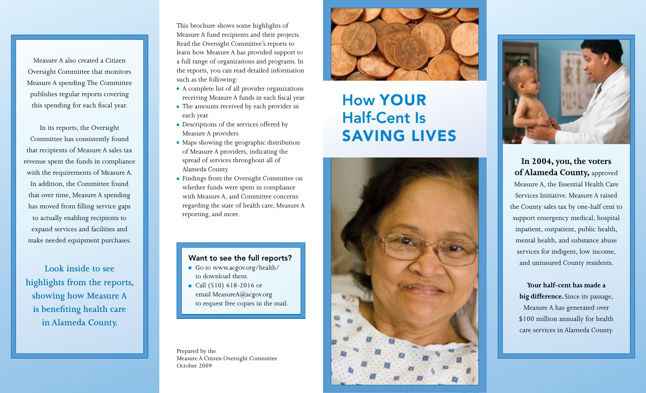Measure A also created a Citizen Oversight Committee that monitors Measure A spending. The Committee publishes regular reports covering this spending for each fiscal year.

In its reports, the Oversight Committee has consistently found that recipients of Measure A sales tax revenue spent the funds in compliance with the requirements of Measure A. In addition, the Committee found that over time, Measure A spending has moved from filling service gaps to actually enabling recipients to expand services and facilities and make needed equipment purchases.

**Look inside to see highlights from the reports, showing how Measure A is benefiting health care in Alameda County.**

This brochure shows some highlights of Measure A fund recipients and their projects. Read the Oversight Committee's reports to learn how Measure A has provided support to a full range of organizations and programs. In the reports, you can read detailed information such as the following:

- <sup>n</sup> A complete list of all provider organizations receiving Measure A funds in each fiscal year
- The amounts received by each provider in each year
- **•** Descriptions of the services offered by Measure A providers
- Maps showing the geographic distribution of Measure A providers, indicating the spread of services throughout all of Alameda County
- <sup>n</sup> Findings from the Oversight Committee on whether funds were spent in compliance with Measure A, and Committee concerns regarding the state of health care, Measure A reporting, and more.

## Want to see the full reports?

- Go to www.acgov.org/health/ to download them.
- Call (510) 618-2016 or email MeasureA@acgov.org to request free copies in the mail.

Prepared by the Measure A Citizen Oversight Committee October 2009



# How Your Half-Cent Is **SAVING LIVES** s





**In 2004, you, the voters of Alameda County,** approved Measure A, the Essential Health Care Services Initiative. Measure A raised the County sales tax by one-half cent to support emergency medical, hospital inpatient, outpatient, public health, mental health, and substance abuse services for indigent, low income, and uninsured County residents.

# **Your half-cent has made a big difference.** Since its passage, Measure A has generated over \$100 million annually for health care services in Alameda County.